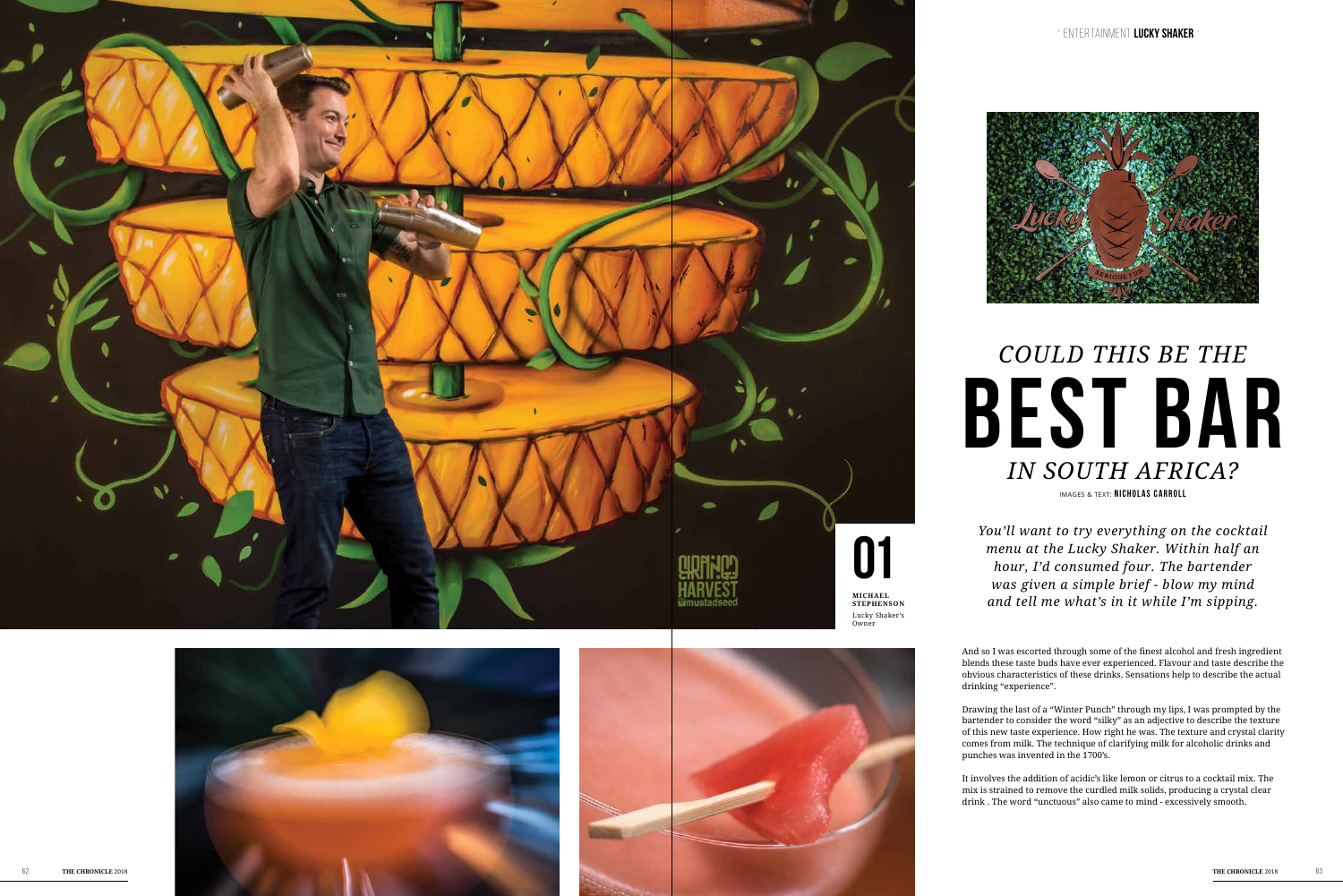IMAGES & TEXT: **NICHOLAS CARROLL**

## **best bar** *C O ULD THIS BE THE IN SOUTH AFRICA?*

*You'll want to try everything on the cocktail menu at the Lucky Shaker. Within half an hour, I'd consumed four. The bartender was given a simple brief - blow my mind and tell me what's in it while I'm sipping.*

And so I was escorted through some of the finest alcohol and fresh ingredient blends these taste buds have ever experienced. Flavour and taste describe the obvious characteristics of these drinks. Sensations help to describe the actual drinking "experience".

Drawing the last of a "Winter Punch" through my lips, I was prompted by the bartender to consider the word "silky" as an adjective to describe the texture of this new taste experience. How right he was. The texture and crystal clarity comes from milk. The technique of clarifying milk for alcoholic drinks and punches was invented in the 1700's.

It involves the addition of acidic's like lemon or citrus to a cocktail mix. The mix is strained to remove the curdled milk solids, producing a crystal clear drink . The word "unctuous" also came to mind - excessively smooth.



- E NTE R T A NME N T **lucky sha ker** I -